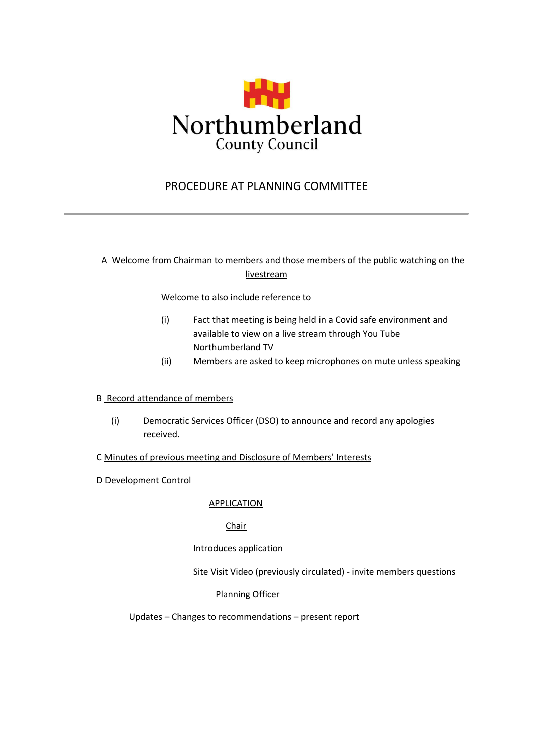

# PROCEDURE AT PLANNING COMMITTEE

## A Welcome from Chairman to members and those members of the public watching on the livestream

Welcome to also include reference to

- (i) Fact that meeting is being held in a Covid safe environment and available to view on a live stream through You Tube Northumberland TV
- (ii) Members are asked to keep microphones on mute unless speaking

#### B Record attendance of members

- (i) Democratic Services Officer (DSO) to announce and record any apologies received.
- C Minutes of previous meeting and Disclosure of Members' Interests
- D Development Control

## **APPLICATION**

## Chair

## Introduces application

Site Visit Video (previously circulated) - invite members questions

## Planning Officer

Updates – Changes to recommendations – present report